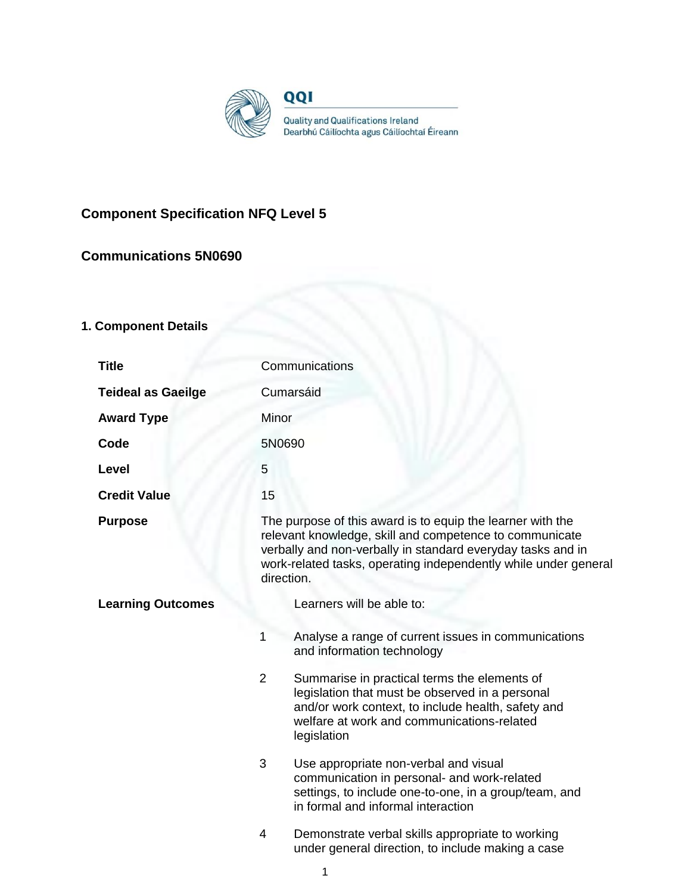

# **Component Specification NFQ Level 5**

# **Communications 5N0690**

# **1. Component Details**

| <b>Title</b>              | Communications                                                                                                                                                                                                                                                        |  |  |
|---------------------------|-----------------------------------------------------------------------------------------------------------------------------------------------------------------------------------------------------------------------------------------------------------------------|--|--|
| <b>Teideal as Gaeilge</b> | Cumarsáid                                                                                                                                                                                                                                                             |  |  |
| <b>Award Type</b>         | Minor                                                                                                                                                                                                                                                                 |  |  |
| Code                      | 5N0690                                                                                                                                                                                                                                                                |  |  |
| Level                     | 5                                                                                                                                                                                                                                                                     |  |  |
| <b>Credit Value</b>       | 15                                                                                                                                                                                                                                                                    |  |  |
| <b>Purpose</b>            | The purpose of this award is to equip the learner with the<br>relevant knowledge, skill and competence to communicate<br>verbally and non-verbally in standard everyday tasks and in<br>work-related tasks, operating independently while under general<br>direction. |  |  |
| <b>Learning Outcomes</b>  | Learners will be able to:                                                                                                                                                                                                                                             |  |  |
|                           | Analyse a range of current issues in communications<br>1<br>and information technology                                                                                                                                                                                |  |  |
|                           | $\overline{2}$<br>Summarise in practical terms the elements of<br>legislation that must be observed in a personal<br>and/or work context, to include health, safety and<br>welfare at work and communications-related<br>legislation                                  |  |  |
|                           | 3<br>Use appropriate non-verbal and visual<br>communication in personal- and work-related<br>settings, to include one-to-one, in a group/team, and<br>in formal and informal interaction                                                                              |  |  |
|                           | 4<br>Demonstrate verbal skills appropriate to working<br>under general direction, to include making a case                                                                                                                                                            |  |  |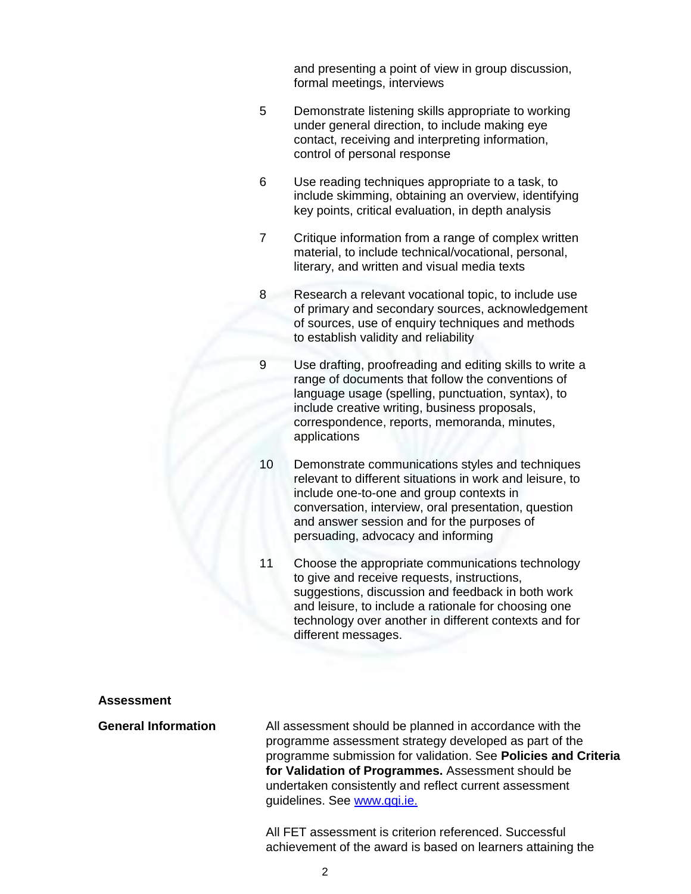and presenting a point of view in group discussion, formal meetings, interviews

- 5 Demonstrate listening skills appropriate to working under general direction, to include making eye contact, receiving and interpreting information, control of personal response
- 6 Use reading techniques appropriate to a task, to include skimming, obtaining an overview, identifying key points, critical evaluation, in depth analysis
- 7 Critique information from a range of complex written material, to include technical/vocational, personal, literary, and written and visual media texts
- 8 Research a relevant vocational topic, to include use of primary and secondary sources, acknowledgement of sources, use of enquiry techniques and methods to establish validity and reliability
- 9 Use drafting, proofreading and editing skills to write a range of documents that follow the conventions of language usage (spelling, punctuation, syntax), to include creative writing, business proposals, correspondence, reports, memoranda, minutes, applications
- 10 Demonstrate communications styles and techniques relevant to different situations in work and leisure, to include one-to-one and group contexts in conversation, interview, oral presentation, question and answer session and for the purposes of persuading, advocacy and informing
- 11 Choose the appropriate communications technology to give and receive requests, instructions, suggestions, discussion and feedback in both work and leisure, to include a rationale for choosing one technology over another in different contexts and for different messages.

#### **Assessment**

**General Information** All assessment should be planned in accordance with the programme assessment strategy developed as part of the programme submission for validation. See **Policies and Criteria for Validation of Programmes.** Assessment should be undertaken consistently and reflect current assessment guidelines. See [www.qqi.ie.](http://www.qqi.ie/) 

> All FET assessment is criterion referenced. Successful achievement of the award is based on learners attaining the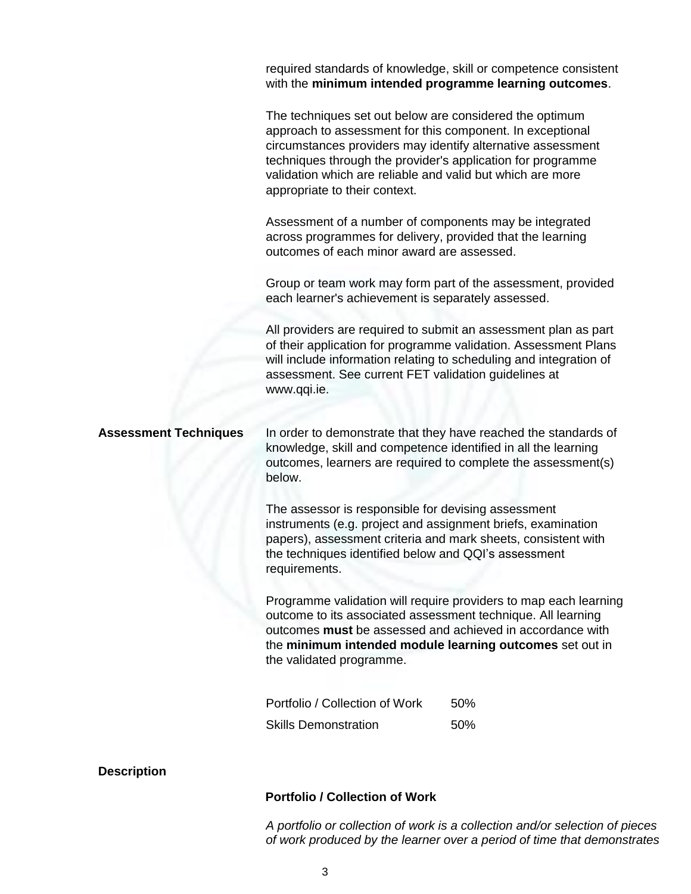required standards of knowledge, skill or competence consistent with the **minimum intended programme learning outcomes**.

The techniques set out below are considered the optimum approach to assessment for this component. In exceptional circumstances providers may identify alternative assessment techniques through the provider's application for programme validation which are reliable and valid but which are more appropriate to their context.

Assessment of a number of components may be integrated across programmes for delivery, provided that the learning outcomes of each minor award are assessed.

Group or team work may form part of the assessment, provided each learner's achievement is separately assessed.

All providers are required to submit an assessment plan as part of their application for programme validation. Assessment Plans will include information relating to scheduling and integration of assessment. See current FET validation guidelines at [www.qqi.ie.](http://www.qqi.ie/)

**Assessment Techniques** In order to demonstrate that they have reached the standards of knowledge, skill and competence identified in all the learning outcomes, learners are required to complete the assessment(s) below.

> The assessor is responsible for devising assessment instruments (e.g. project and assignment briefs, examination papers), assessment criteria and mark sheets, consistent with the techniques identified below and QQI's assessment requirements.

Programme validation will require providers to map each learning outcome to its associated assessment technique. All learning outcomes **must** be assessed and achieved in accordance with the **minimum intended module learning outcomes** set out in the validated programme.

| Portfolio / Collection of Work | 50%  |
|--------------------------------|------|
| <b>Skills Demonstration</b>    | .50% |

**Description**

#### **Portfolio / Collection of Work**

*A portfolio or collection of work is a collection and/or selection of pieces of work produced by the learner over a period of time that demonstrates*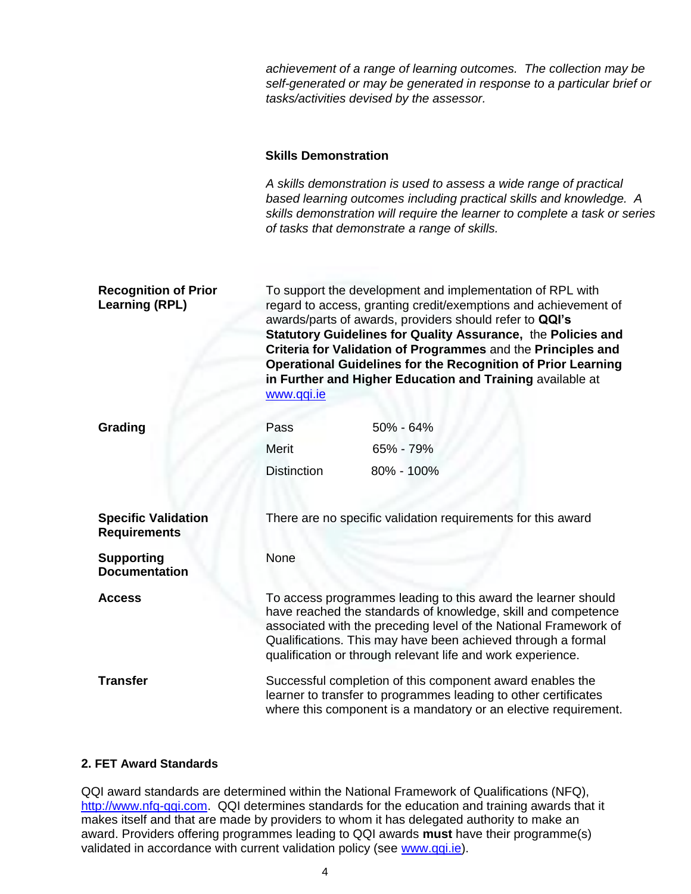*achievement of a range of learning outcomes. The collection may be self-generated or may be generated in response to a particular brief or tasks/activities devised by the assessor.*

### **Skills Demonstration**

*A skills demonstration is used to assess a wide range of practical based learning outcomes including practical skills and knowledge. A skills demonstration will require the learner to complete a task or series of tasks that demonstrate a range of skills.*

| <b>Recognition of Prior</b><br><b>Learning (RPL)</b> | To support the development and implementation of RPL with<br>regard to access, granting credit/exemptions and achievement of<br>awards/parts of awards, providers should refer to QQI's<br>Statutory Guidelines for Quality Assurance, the Policies and<br>Criteria for Validation of Programmes and the Principles and<br><b>Operational Guidelines for the Recognition of Prior Learning</b><br>in Further and Higher Education and Training available at<br>www.qqi.ie |                                                              |
|------------------------------------------------------|---------------------------------------------------------------------------------------------------------------------------------------------------------------------------------------------------------------------------------------------------------------------------------------------------------------------------------------------------------------------------------------------------------------------------------------------------------------------------|--------------------------------------------------------------|
| Grading                                              | Pass                                                                                                                                                                                                                                                                                                                                                                                                                                                                      | 50% - 64%                                                    |
|                                                      | Merit                                                                                                                                                                                                                                                                                                                                                                                                                                                                     | 65% - 79%                                                    |
|                                                      | <b>Distinction</b>                                                                                                                                                                                                                                                                                                                                                                                                                                                        | 80% - 100%                                                   |
| <b>Specific Validation</b><br><b>Requirements</b>    |                                                                                                                                                                                                                                                                                                                                                                                                                                                                           | There are no specific validation requirements for this award |
| <b>Supporting</b><br><b>Documentation</b>            | None                                                                                                                                                                                                                                                                                                                                                                                                                                                                      |                                                              |
| <b>Access</b>                                        | To access programmes leading to this award the learner should<br>have reached the standards of knowledge, skill and competence<br>associated with the preceding level of the National Framework of<br>Qualifications. This may have been achieved through a formal<br>qualification or through relevant life and work experience.                                                                                                                                         |                                                              |
| <b>Transfer</b>                                      | Successful completion of this component award enables the<br>learner to transfer to programmes leading to other certificates<br>where this component is a mandatory or an elective requirement.                                                                                                                                                                                                                                                                           |                                                              |

#### **2. FET Award Standards**

QQI award standards are determined within the National Framework of Qualifications (NFQ), [http://www.nfq-qqi.com.](http://www.nfq-qqi.com/) QQI determines standards for the education and training awards that it makes itself and that are made by providers to whom it has delegated authority to make an award. Providers offering programmes leading to QQI awards **must** have their programme(s) validated in accordance with current validation policy (see [www.qqi.ie\)](http://www.qqi.ie/).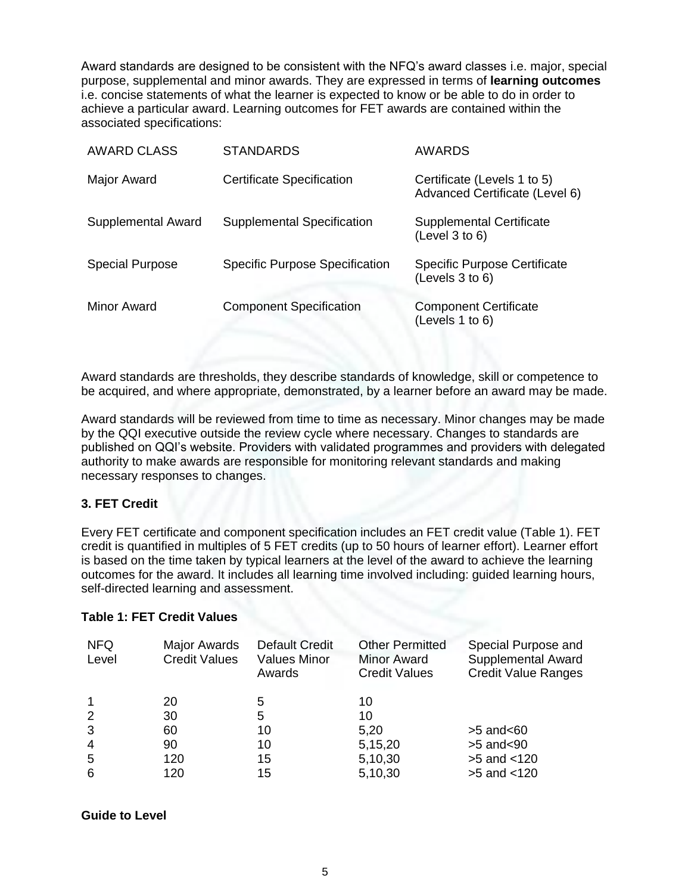Award standards are designed to be consistent with the NFQ's award classes i.e. major, special purpose, supplemental and minor awards. They are expressed in terms of **learning outcomes**  i.e. concise statements of what the learner is expected to know or be able to do in order to achieve a particular award. Learning outcomes for FET awards are contained within the associated specifications:

| <b>AWARD CLASS</b>     | <b>STANDARDS</b>                      | <b>AWARDS</b>                                                 |
|------------------------|---------------------------------------|---------------------------------------------------------------|
| Major Award            | Certificate Specification             | Certificate (Levels 1 to 5)<br>Advanced Certificate (Level 6) |
| Supplemental Award     | Supplemental Specification            | <b>Supplemental Certificate</b><br>(Level 3 to 6)             |
| <b>Special Purpose</b> | <b>Specific Purpose Specification</b> | <b>Specific Purpose Certificate</b><br>(Levels 3 to 6)        |
| Minor Award            | <b>Component Specification</b>        | <b>Component Certificate</b><br>(Levels 1 to 6)               |

Award standards are thresholds, they describe standards of knowledge, skill or competence to be acquired, and where appropriate, demonstrated, by a learner before an award may be made.

Award standards will be reviewed from time to time as necessary. Minor changes may be made by the QQI executive outside the review cycle where necessary. Changes to standards are published on QQI's website. Providers with validated programmes and providers with delegated authority to make awards are responsible for monitoring relevant standards and making necessary responses to changes.

### **3. FET Credit**

Every FET certificate and component specification includes an FET credit value (Table 1). FET credit is quantified in multiples of 5 FET credits (up to 50 hours of learner effort). Learner effort is based on the time taken by typical learners at the level of the award to achieve the learning outcomes for the award. It includes all learning time involved including: guided learning hours, self-directed learning and assessment.

### **Table 1: FET Credit Values**

| <b>NFQ</b><br>Level | Major Awards<br><b>Credit Values</b> | <b>Default Credit</b><br><b>Values Minor</b><br>Awards | <b>Other Permitted</b><br><b>Minor Award</b><br><b>Credit Values</b> | Special Purpose and<br>Supplemental Award<br><b>Credit Value Ranges</b> |
|---------------------|--------------------------------------|--------------------------------------------------------|----------------------------------------------------------------------|-------------------------------------------------------------------------|
|                     | 20                                   | 5                                                      | 10                                                                   |                                                                         |
| 2                   | 30                                   | 5                                                      | 10                                                                   |                                                                         |
| 3                   | 60                                   | 10                                                     | 5,20                                                                 | $>5$ and $< 60$                                                         |
| $\overline{4}$      | 90                                   | 10                                                     | 5,15,20                                                              | $>5$ and $< 90$                                                         |
| 5                   | 120                                  | 15                                                     | 5,10,30                                                              | $>5$ and $< 120$                                                        |
| 6                   | 120                                  | 15                                                     | 5,10,30                                                              | $>5$ and $< 120$                                                        |

### **Guide to Level**